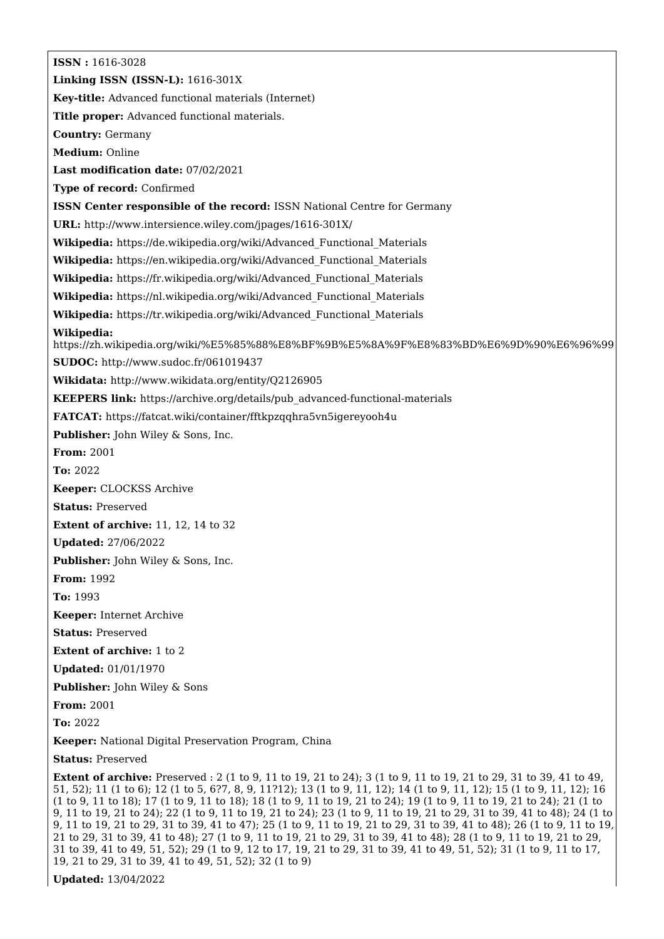**ISSN :** 1616-3028 **Linking ISSN (ISSN-L):** 1616-301X **Key-title:** Advanced functional materials (Internet) **Title proper:** Advanced functional materials. **Country:** Germany **Medium:** Online **Last modification date:** 07/02/2021 **Type of record:** Confirmed **ISSN Center responsible of the record:** ISSN National Centre for Germany **URL:** <http://www.intersience.wiley.com/jpages/1616-301X/> **Wikipedia:** [https://de.wikipedia.org/wiki/Advanced\\_Functional\\_Materials](https://de.wikipedia.org/wiki/Advanced_Functional_Materials) **Wikipedia:** [https://en.wikipedia.org/wiki/Advanced\\_Functional\\_Materials](https://en.wikipedia.org/wiki/Advanced_Functional_Materials) **Wikipedia:** [https://fr.wikipedia.org/wiki/Advanced\\_Functional\\_Materials](https://fr.wikipedia.org/wiki/Advanced_Functional_Materials) **Wikipedia:** [https://nl.wikipedia.org/wiki/Advanced\\_Functional\\_Materials](https://nl.wikipedia.org/wiki/Advanced_Functional_Materials) **Wikipedia:** [https://tr.wikipedia.org/wiki/Advanced\\_Functional\\_Materials](https://tr.wikipedia.org/wiki/Advanced_Functional_Materials) **Wikipedia:** <https://zh.wikipedia.org/wiki/%E5%85%88%E8%BF%9B%E5%8A%9F%E8%83%BD%E6%9D%90%E6%96%99> **SUDOC:** <http://www.sudoc.fr/061019437> **Wikidata:** <http://www.wikidata.org/entity/Q2126905> **KEEPERS link:** [https://archive.org/details/pub\\_advanced-functional-materials](https://archive.org/details/pub_advanced-functional-materials) **FATCAT:** <https://fatcat.wiki/container/fftkpzqqhra5vn5igereyooh4u> **Publisher:** John Wiley & Sons, Inc. **From:** 2001 **To:** 2022 **Keeper:** CLOCKSS Archive **Status:** Preserved **Extent of archive:** 11, 12, 14 to 32 **Updated:** 27/06/2022 **Publisher:** John Wiley & Sons, Inc. **From:** 1992 **To:** 1993 **Keeper:** Internet Archive **Status:** Preserved **Extent of archive:** 1 to 2 **Updated:** 01/01/1970 **Publisher:** John Wiley & Sons **From:** 2001 **To:** 2022 **Keeper:** National Digital Preservation Program, China **Status:** Preserved

**Extent of archive:** Preserved : 2 (1 to 9, 11 to 19, 21 to 24); 3 (1 to 9, 11 to 19, 21 to 29, 31 to 39, 41 to 49, 51, 52); 11 (1 to 6); 12 (1 to 5, 6?7, 8, 9, 11?12); 13 (1 to 9, 11, 12); 14 (1 to 9, 11, 12); 15 (1 to 9, 11, 12); 16 (1 to 9, 11 to 18); 17 (1 to 9, 11 to 18); 18 (1 to 9, 11 to 19, 21 to 24); 19 (1 to 9, 11 to 19, 21 to 24); 21 (1 to 9, 11 to 19, 21 to 24); 22 (1 to 9, 11 to 19, 21 to 24); 23 (1 to 9, 11 to 19, 21 to 29, 31 to 39, 41 to 48); 24 (1 to 9, 11 to 19, 21 to 29, 31 to 39, 41 to 47); 25 (1 to 9, 11 to 19, 21 to 29, 31 to 39, 41 to 48); 26 (1 to 9, 11 to 19, 21 to 29, 31 to 39, 41 to 48); 27 (1 to 9, 11 to 19, 21 to 29, 31 to 39, 41 to 48); 28 (1 to 9, 11 to 19, 21 to 29, 31 to 39, 41 to 49, 51, 52); 29 (1 to 9, 12 to 17, 19, 21 to 29, 31 to 39, 41 to 49, 51, 52); 31 (1 to 9, 11 to 17, 19, 21 to 29, 31 to 39, 41 to 49, 51, 52); 32 (1 to 9)

**Updated:** 13/04/2022